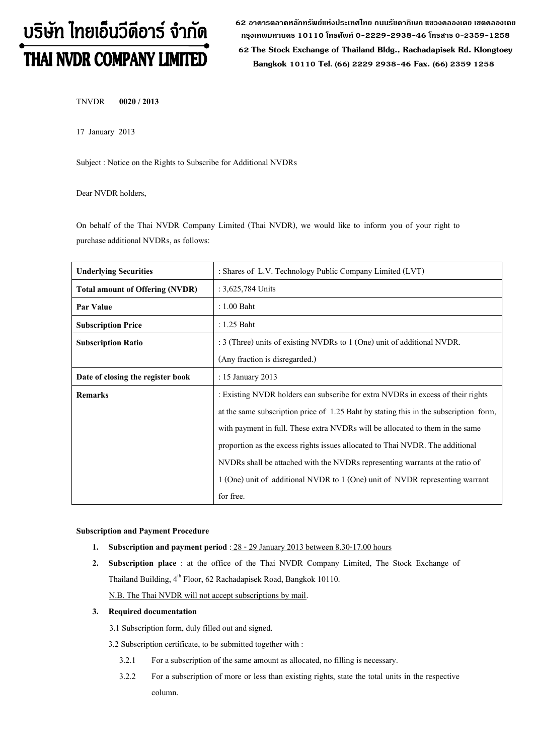# บริษัท ไทยเอ็นวีดีอาร์ จำกัด THAI NVDR COMPANY LIMITED

**62 อาคารตลาดหลักทรัพย์แห่งประเทศไทย ถนนรัชดาภิเษก แขวงคลองเตย เขตคลองเตย กรุงเทพมหานคร 10110 โทรศัพท์0-2229-2938-46 โทรสาร 0-2359-1258**

 **62 The Stock Exchange of Thailand Bldg., Rachadapisek Rd. Klongtoey Bangkok 10110 Tel. (66) 2229 2938-46 Fax. (66) 2359 1258**

TNVDR **0020 / 2013**

17 January 2013

Subject : Notice on the Rights to Subscribe for Additional NVDRs

Dear NVDR holders,

On behalf of the Thai NVDR Company Limited (Thai NVDR), we would like to inform you of your right to purchase additional NVDRs, as follows:

| <b>Underlying Securities</b>           | : Shares of L.V. Technology Public Company Limited (LVT)                              |  |  |
|----------------------------------------|---------------------------------------------------------------------------------------|--|--|
| <b>Total amount of Offering (NVDR)</b> | : 3,625,784 Units                                                                     |  |  |
| Par Value                              | $: 1.00$ Baht                                                                         |  |  |
| <b>Subscription Price</b>              | $: 1.25$ Baht                                                                         |  |  |
| <b>Subscription Ratio</b>              | : 3 (Three) units of existing NVDRs to 1 (One) unit of additional NVDR.               |  |  |
|                                        | (Any fraction is disregarded.)                                                        |  |  |
| Date of closing the register book      | : 15 January 2013                                                                     |  |  |
| <b>Remarks</b>                         | : Existing NVDR holders can subscribe for extra NVDRs in excess of their rights       |  |  |
|                                        | at the same subscription price of 1.25 Baht by stating this in the subscription form, |  |  |
|                                        | with payment in full. These extra NVDRs will be allocated to them in the same         |  |  |
|                                        | proportion as the excess rights issues allocated to Thai NVDR. The additional         |  |  |
|                                        | NVDRs shall be attached with the NVDRs representing warrants at the ratio of          |  |  |
|                                        | 1 (One) unit of additional NVDR to 1 (One) unit of NVDR representing warrant          |  |  |
|                                        | for free.                                                                             |  |  |

**Subscription and Payment Procedure**

- **1.** Subscription and payment period : 28 29 January 2013 between 8.30-17.00 hours
- **2. Subscription place** : at the office of the Thai NVDR Company Limited, The Stock Exchange of Thailand Building, 4<sup>th</sup> Floor, 62 Rachadapisek Road, Bangkok 10110. N.B. The Thai NVDR will not accept subscriptions by mail.

## **3. Required documentation**

3.1 Subscription form, duly filled out and signed.

3.2 Subscription certificate, to be submitted together with :

- 3.2.1 For a subscription of the same amount as allocated, no filling is necessary.
- 3.2.2 For a subscription of more or less than existing rights, state the total units in the respective column.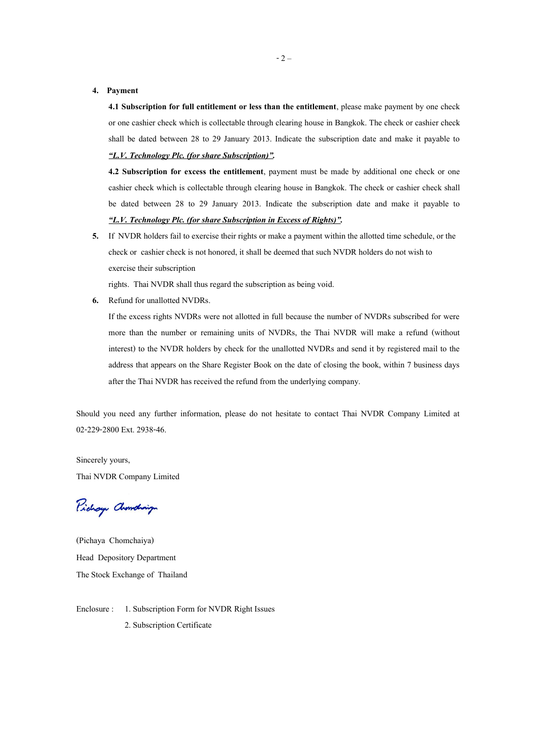#### **4. Payment**

**4.1 Subscription for full entitlement or less than the entitlement**, please make payment by one check or one cashier check which is collectable through clearing house in Bangkok. The check or cashier check shall be dated between 28 to 29 January 2013. Indicate the subscription date and make it payable to *"L.V. Technology Plc. (for share Subscription)".*

**4.2 Subscription for excess the entitlement**, payment must be made by additional one check or one cashier check which is collectable through clearing house in Bangkok. The check or cashier check shall be dated between 28 to 29 January 2013. Indicate the subscription date and make it payable to *"L.V. Technology Plc. (for share Subscriptionin Excess of Rights)".*

**5.** If NVDR holders fail to exercise their rights or make a payment within the allotted time schedule, or the check or cashier check is not honored, it shall be deemed that such NVDR holders do not wish to exercise their subscription

rights. Thai NVDR shall thus regard the subscription as being void.

**6.** Refund for unallotted NVDRs.

If the excess rights NVDRs were not allotted in full because the number of NVDRs subscribed for were more than the number or remaining units of NVDRs, the Thai NVDR will make a refund (without interest) to the NVDR holders by check for the unallotted NVDRs and send it by registered mail to the address that appears on the Share Register Book on the date of closing the book, within 7 business days after the Thai NVDR has received the refund from the underlying company.

Should you need any further information, please do not hesitate to contact Thai NVDR Company Limited at 02-229-2800 Ext. 2938-46.

Sincerely yours, Thai NVDR Company Limited

Pichay Chamdraign

(Pichaya Chomchaiya) Head Depository Department The Stock Exchange of Thailand

Enclosure : 1. Subscription Form for NVDR Right Issues 2. Subscription Certificate